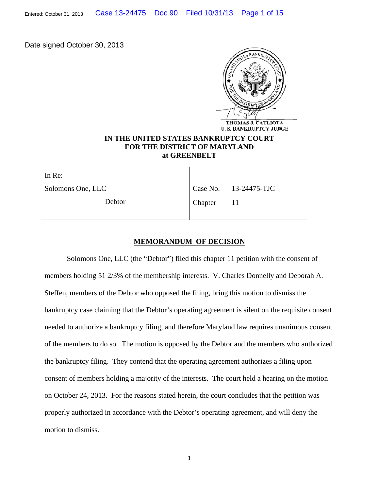Date signed October 30, 2013



## **IN THE UNITED STATES BANKRUPTCY COURT FOR THE DISTRICT OF MARYLAND at GREENBELT**

In Re: Solomons One, LLC

Debtor

Case No. 13-24475-TJC

Chapter 11

## **MEMORANDUM OF DECISION**

Solomons One, LLC (the "Debtor") filed this chapter 11 petition with the consent of members holding 51 2/3% of the membership interests. V. Charles Donnelly and Deborah A. Steffen, members of the Debtor who opposed the filing, bring this motion to dismiss the bankruptcy case claiming that the Debtor's operating agreement is silent on the requisite consent needed to authorize a bankruptcy filing, and therefore Maryland law requires unanimous consent of the members to do so. The motion is opposed by the Debtor and the members who authorized the bankruptcy filing. They contend that the operating agreement authorizes a filing upon consent of members holding a majority of the interests. The court held a hearing on the motion on October 24, 2013. For the reasons stated herein, the court concludes that the petition was properly authorized in accordance with the Debtor's operating agreement, and will deny the motion to dismiss.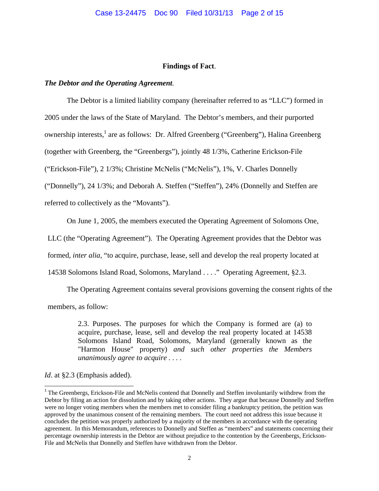## **Findings of Fact**.

## *The Debtor and the Operating Agreement.*

 The Debtor is a limited liability company (hereinafter referred to as "LLC") formed in 2005 under the laws of the State of Maryland. The Debtor's members, and their purported ownership interests,<sup>1</sup> are as follows: Dr. Alfred Greenberg ("Greenberg"), Halina Greenberg (together with Greenberg, the "Greenbergs"), jointly 48 1/3%, Catherine Erickson-File ("Erickson-File"), 2 1/3%; Christine McNelis ("McNelis"), 1%, V. Charles Donnelly ("Donnelly"), 24 1/3%; and Deborah A. Steffen ("Steffen"), 24% (Donnelly and Steffen are referred to collectively as the "Movants").

On June 1, 2005, the members executed the Operating Agreement of Solomons One,

LLC (the "Operating Agreement"). The Operating Agreement provides that the Debtor was

formed, *inter alia*, "to acquire, purchase, lease, sell and develop the real property located at

14538 Solomons Island Road, Solomons, Maryland . . . ." Operating Agreement, §2.3.

 The Operating Agreement contains several provisions governing the consent rights of the members, as follow:

> 2.3. Purposes. The purposes for which the Company is formed are (a) to acquire, purchase, lease, sell and develop the real property located at 14538 Solomons Island Road, Solomons, Maryland (generally known as the "Harmon House" property) *and such other properties the Members unanimously agree to acquire . . . .*

*Id*. at §2.3 (Emphasis added).

 $\overline{a}$ 

<sup>&</sup>lt;sup>1</sup> The Greenbergs, Erickson-File and McNelis contend that Donnelly and Steffen involuntarily withdrew from the Debtor by filing an action for dissolution and by taking other actions. They argue that because Donnelly and Steffen were no longer voting members when the members met to consider filing a bankruptcy petition, the petition was approved by the unanimous consent of the remaining members. The court need not address this issue because it concludes the petition was properly authorized by a majority of the members in accordance with the operating agreement. In this Memorandum, references to Donnelly and Steffen as "members" and statements concerning their percentage ownership interests in the Debtor are without prejudice to the contention by the Greenbergs, Erickson-File and McNelis that Donnelly and Steffen have withdrawn from the Debtor.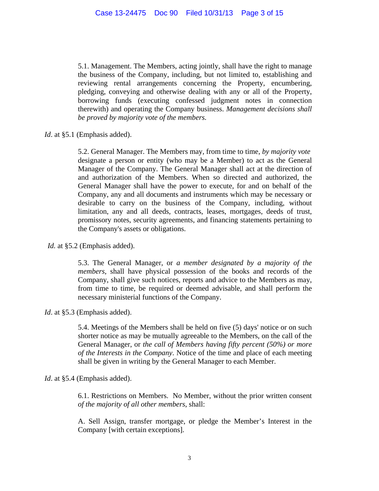5.1. Management. The Members, acting jointly, shall have the right to manage the business of the Company, including, but not limited to, establishing and reviewing rental arrangements concerning the Property, encumbering, pledging, conveying and otherwise dealing with any or all of the Property, borrowing funds (executing confessed judgment notes in connection therewith) and operating the Company business. *Management decisions shall be proved by majority vote of the members.* 

*Id*. at §5.1 (Emphasis added).

5.2. General Manager. The Members may, from time to time, *by majority vote* designate a person or entity (who may be a Member) to act as the General Manager of the Company. The General Manager shall act at the direction of and authorization of the Members. When so directed and authorized, the General Manager shall have the power to execute, for and on behalf of the Company, any and all documents and instruments which may be necessary or desirable to carry on the business of the Company, including, without limitation, any and all deeds, contracts, leases, mortgages, deeds of trust, promissory notes, security agreements, and financing statements pertaining to the Company's assets or obligations.

*Id.* at §5.2 (Emphasis added).

5.3. The General Manager, or *a member designated by a majority of the members*, shall have physical possession of the books and records of the Company, shall give such notices, reports and advice to the Members as may, from time to time, be required or deemed advisable, and shall perform the necessary ministerial functions of the Company.

*Id*. at §5.3 (Emphasis added).

5.4. Meetings of the Members shall be held on five (5) days' notice or on such shorter notice as may be mutually agreeable to the Members, on the call of the General Manager, or *the call of Members having fifty percent (50%) or more of the Interests in the Company*. Notice of the time and place of each meeting shall be given in writing by the General Manager to each Member.

*Id*. at §5.4 (Emphasis added).

6.1. Restrictions on Members. No Member, without the prior written consent *of the majority of all other members*, shall:

A. Sell Assign, transfer mortgage, or pledge the Member's Interest in the Company [with certain exceptions].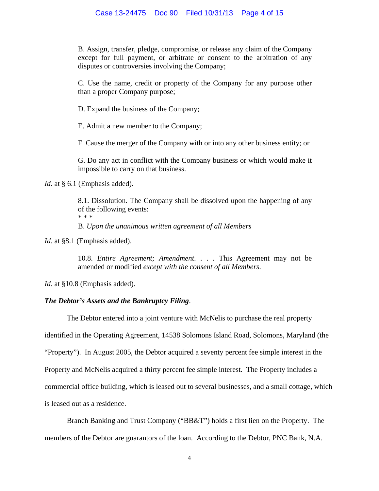### Case 13-24475 Doc 90 Filed 10/31/13 Page 4 of 15

B. Assign, transfer, pledge, compromise, or release any claim of the Company except for full payment, or arbitrate or consent to the arbitration of any disputes or controversies involving the Company;

C. Use the name, credit or property of the Company for any purpose other than a proper Company purpose;

D. Expand the business of the Company;

E. Admit a new member to the Company;

F. Cause the merger of the Company with or into any other business entity; or

G. Do any act in conflict with the Company business or which would make it impossible to carry on that business.

*Id.* at § 6.1 (Emphasis added).

8.1. Dissolution. The Company shall be dissolved upon the happening of any of the following events: \* \* \* B. *Upon the unanimous written agreement of all Members* 

*Id.* at §8.1 (Emphasis added).

10.8. *Entire Agreement; Amendment*. . . . This Agreement may not be amended or modified *except with the consent of all Members*.

*Id.* at §10.8 (Emphasis added).

## *The Debtor's Assets and the Bankruptcy Filing*.

The Debtor entered into a joint venture with McNelis to purchase the real property

identified in the Operating Agreement, 14538 Solomons Island Road, Solomons, Maryland (the

"Property"). In August 2005, the Debtor acquired a seventy percent fee simple interest in the

Property and McNelis acquired a thirty percent fee simple interest. The Property includes a

commercial office building, which is leased out to several businesses, and a small cottage, which

is leased out as a residence.

 Branch Banking and Trust Company ("BB&T") holds a first lien on the Property. The members of the Debtor are guarantors of the loan. According to the Debtor, PNC Bank, N.A.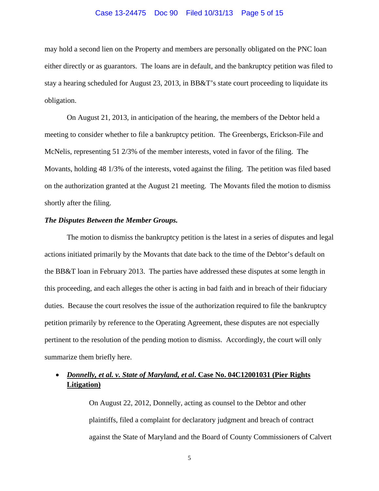#### Case 13-24475 Doc 90 Filed 10/31/13 Page 5 of 15

may hold a second lien on the Property and members are personally obligated on the PNC loan either directly or as guarantors. The loans are in default, and the bankruptcy petition was filed to stay a hearing scheduled for August 23, 2013, in BB&T's state court proceeding to liquidate its obligation.

 On August 21, 2013, in anticipation of the hearing, the members of the Debtor held a meeting to consider whether to file a bankruptcy petition. The Greenbergs, Erickson-File and McNelis, representing 51 2/3% of the member interests, voted in favor of the filing. The Movants, holding 48 1/3% of the interests, voted against the filing. The petition was filed based on the authorization granted at the August 21 meeting. The Movants filed the motion to dismiss shortly after the filing.

### *The Disputes Between the Member Groups.*

 The motion to dismiss the bankruptcy petition is the latest in a series of disputes and legal actions initiated primarily by the Movants that date back to the time of the Debtor's default on the BB&T loan in February 2013. The parties have addressed these disputes at some length in this proceeding, and each alleges the other is acting in bad faith and in breach of their fiduciary duties. Because the court resolves the issue of the authorization required to file the bankruptcy petition primarily by reference to the Operating Agreement, these disputes are not especially pertinent to the resolution of the pending motion to dismiss. Accordingly, the court will only summarize them briefly here.

# *Donnelly, et al. v. State of Maryland, et al***. Case No. 04C12001031 (Pier Rights Litigation)**

On August 22, 2012, Donnelly, acting as counsel to the Debtor and other plaintiffs, filed a complaint for declaratory judgment and breach of contract against the State of Maryland and the Board of County Commissioners of Calvert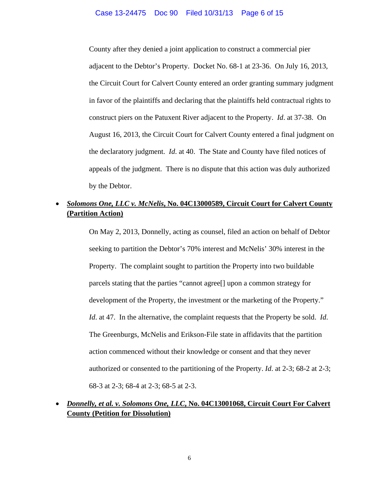County after they denied a joint application to construct a commercial pier adjacent to the Debtor's Property. Docket No. 68-1 at 23-36. On July 16, 2013, the Circuit Court for Calvert County entered an order granting summary judgment in favor of the plaintiffs and declaring that the plaintiffs held contractual rights to construct piers on the Patuxent River adjacent to the Property. *Id*. at 37-38. On August 16, 2013, the Circuit Court for Calvert County entered a final judgment on the declaratory judgment. *Id*. at 40. The State and County have filed notices of appeals of the judgment. There is no dispute that this action was duly authorized by the Debtor.

# *Solomons One, LLC v. McNelis***, No. 04C13000589, Circuit Court for Calvert County (Partition Action)**

On May 2, 2013, Donnelly, acting as counsel, filed an action on behalf of Debtor seeking to partition the Debtor's 70% interest and McNelis' 30% interest in the Property. The complaint sought to partition the Property into two buildable parcels stating that the parties "cannot agree[] upon a common strategy for development of the Property, the investment or the marketing of the Property." *Id*. at 47. In the alternative, the complaint requests that the Property be sold. *Id*. The Greenburgs, McNelis and Erikson-File state in affidavits that the partition action commenced without their knowledge or consent and that they never authorized or consented to the partitioning of the Property. *Id*. at 2-3; 68-2 at 2-3; 68-3 at 2-3; 68-4 at 2-3; 68-5 at 2-3.

# *Donnelly, et al. v. Solomons One, LLC***, No. 04C13001068, Circuit Court For Calvert County (Petition for Dissolution)**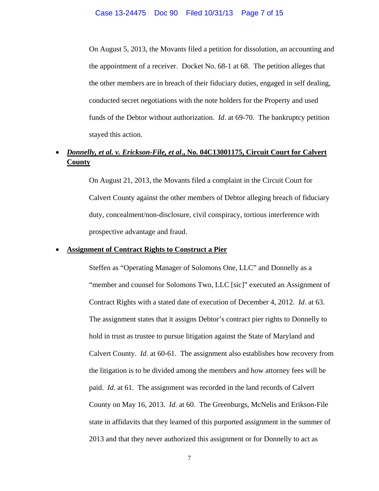On August 5, 2013, the Movants filed a petition for dissolution, an accounting and the appointment of a receiver. Docket No. 68-1 at 68. The petition alleges that the other members are in breach of their fiduciary duties, engaged in self dealing, conducted secret negotiations with the note holders for the Property and used funds of the Debtor without authorization. *Id*. at 69-70. The bankruptcy petition stayed this action.

# *Donnelly, et al. v. Erickson-File, et al***., No. 04C13001175, Circuit Court for Calvert County**

On August 21, 2013, the Movants filed a complaint in the Circuit Court for Calvert County against the other members of Debtor alleging breach of fiduciary duty, concealment/non-disclosure, civil conspiracy, tortious interference with prospective advantage and fraud.

### **Assignment of Contract Rights to Construct a Pier**

Steffen as "Operating Manager of Solomons One, LLC" and Donnelly as a "member and counsel for Solomons Two, LLC [sic]" executed an Assignment of Contract Rights with a stated date of execution of December 4, 2012. *Id*. at 63. The assignment states that it assigns Debtor's contract pier rights to Donnelly to hold in trust as trustee to pursue litigation against the State of Maryland and Calvert County. *Id*. at 60-61. The assignment also establishes how recovery from the litigation is to be divided among the members and how attorney fees will be paid. *Id*. at 61. The assignment was recorded in the land records of Calvert County on May 16, 2013. *Id*. at 60. The Greenburgs, McNelis and Erikson-File state in affidavits that they learned of this purported assignment in the summer of 2013 and that they never authorized this assignment or for Donnelly to act as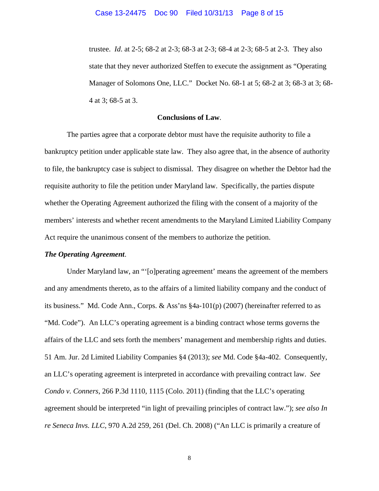trustee. *Id*. at 2-5; 68-2 at 2-3; 68-3 at 2-3; 68-4 at 2-3; 68-5 at 2-3. They also state that they never authorized Steffen to execute the assignment as "Operating Manager of Solomons One, LLC." Docket No. 68-1 at 5; 68-2 at 3; 68-3 at 3; 68- 4 at 3; 68-5 at 3.

### **Conclusions of Law**.

 The parties agree that a corporate debtor must have the requisite authority to file a bankruptcy petition under applicable state law. They also agree that, in the absence of authority to file, the bankruptcy case is subject to dismissal. They disagree on whether the Debtor had the requisite authority to file the petition under Maryland law. Specifically, the parties dispute whether the Operating Agreement authorized the filing with the consent of a majority of the members' interests and whether recent amendments to the Maryland Limited Liability Company Act require the unanimous consent of the members to authorize the petition.

#### *The Operating Agreement*.

Under Maryland law, an "'[o]perating agreement' means the agreement of the members and any amendments thereto, as to the affairs of a limited liability company and the conduct of its business." Md. Code Ann., Corps. & Ass'ns §4a-101(p) (2007) (hereinafter referred to as "Md. Code"). An LLC's operating agreement is a binding contract whose terms governs the affairs of the LLC and sets forth the members' management and membership rights and duties. 51 Am. Jur. 2d Limited Liability Companies §4 (2013); *see* Md. Code §4a-402. Consequently, an LLC's operating agreement is interpreted in accordance with prevailing contract law. *See Condo v. Conners*, 266 P.3d 1110, 1115 (Colo. 2011) (finding that the LLC's operating agreement should be interpreted "in light of prevailing principles of contract law."); *see also In re Seneca Invs. LLC*, 970 A.2d 259, 261 (Del. Ch. 2008) ("An LLC is primarily a creature of

8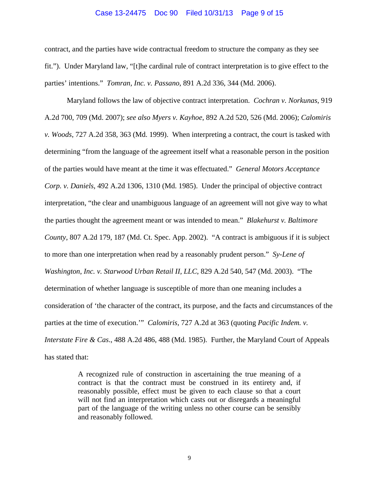#### Case 13-24475 Doc 90 Filed 10/31/13 Page 9 of 15

contract, and the parties have wide contractual freedom to structure the company as they see fit."). Under Maryland law, "[t]he cardinal rule of contract interpretation is to give effect to the parties' intentions." *Tomran, Inc. v. Passano*, 891 A.2d 336, 344 (Md. 2006).

Maryland follows the law of objective contract interpretation. *Cochran v. Norkunas*, 919 A.2d 700, 709 (Md. 2007); *see also Myers v. Kayhoe*, 892 A.2d 520, 526 (Md. 2006); *Calomiris v. Woods*, 727 A.2d 358, 363 (Md. 1999). When interpreting a contract, the court is tasked with determining "from the language of the agreement itself what a reasonable person in the position of the parties would have meant at the time it was effectuated." *General Motors Acceptance Corp. v. Daniels*, 492 A.2d 1306, 1310 (Md. 1985). Under the principal of objective contract interpretation, "the clear and unambiguous language of an agreement will not give way to what the parties thought the agreement meant or was intended to mean." *Blakehurst v. Baltimore County*, 807 A.2d 179, 187 (Md. Ct. Spec. App. 2002). "A contract is ambiguous if it is subject to more than one interpretation when read by a reasonably prudent person." *Sy-Lene of Washington*, *Inc. v. Starwood Urban Retail II, LLC*, 829 A.2d 540, 547 (Md. 2003). "The determination of whether language is susceptible of more than one meaning includes a consideration of 'the character of the contract, its purpose, and the facts and circumstances of the parties at the time of execution.'" *Calomiris,* 727 A.2d at 363 (quoting *Pacific Indem. v. Interstate Fire & Cas*., 488 A.2d 486, 488 (Md. 1985). Further, the Maryland Court of Appeals has stated that:

> A recognized rule of construction in ascertaining the true meaning of a contract is that the contract must be construed in its entirety and, if reasonably possible, effect must be given to each clause so that a court will not find an interpretation which casts out or disregards a meaningful part of the language of the writing unless no other course can be sensibly and reasonably followed.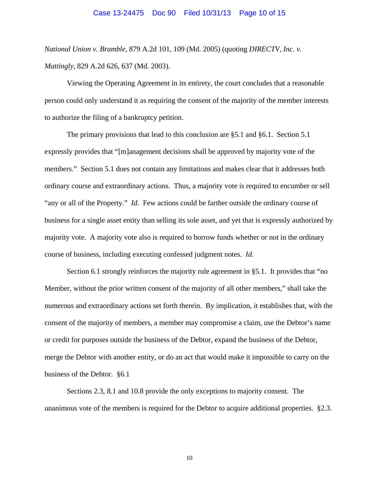#### Case 13-24475 Doc 90 Filed 10/31/13 Page 10 of 15

*National Union v. Bramble*, 879 A.2d 101, 109 (Md. 2005) (quoting *DIRECTV, Inc. v. Mattingly*, 829 A.2d 626, 637 (Md. 2003).

 Viewing the Operating Agreement in its entirety, the court concludes that a reasonable person could only understand it as requiring the consent of the majority of the member interests to authorize the filing of a bankruptcy petition.

 The primary provisions that lead to this conclusion are §5.1 and §6.1. Section 5.1 expressly provides that "[m]anagement decisions shall be approved by majority vote of the members." Section 5.1 does not contain any limitations and makes clear that it addresses both ordinary course and extraordinary actions. Thus, a majority vote is required to encumber or sell "any or all of the Property." *Id*. Few actions could be farther outside the ordinary course of business for a single asset entity than selling its sole asset, and yet that is expressly authorized by majority vote. A majority vote also is required to borrow funds whether or not in the ordinary course of business, including executing confessed judgment notes. *Id.*

 Section 6.1 strongly reinforces the majority rule agreement in §5.1. It provides that "no Member, without the prior written consent of the majority of all other members," shall take the numerous and extraordinary actions set forth therein. By implication, it establishes that, with the consent of the majority of members, a member may compromise a claim, use the Debtor's name or credit for purposes outside the business of the Debtor, expand the business of the Debtor, merge the Debtor with another entity, or do an act that would make it impossible to carry on the business of the Debtor. §6.1

 Sections 2.3, 8.1 and 10.8 provide the only exceptions to majority consent. The unanimous vote of the members is required for the Debtor to acquire additional properties. §2.3.

10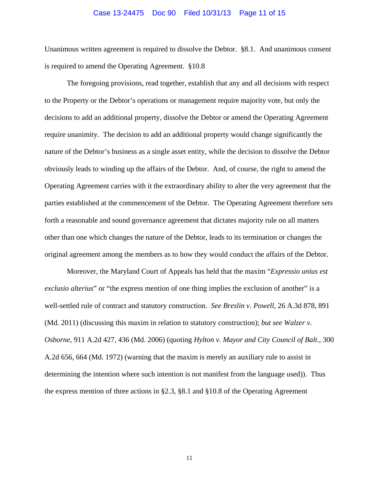#### Case 13-24475 Doc 90 Filed 10/31/13 Page 11 of 15

Unanimous written agreement is required to dissolve the Debtor. §8.1. And unanimous consent is required to amend the Operating Agreement. §10.8

The foregoing provisions, read together, establish that any and all decisions with respect to the Property or the Debtor's operations or management require majority vote, but only the decisions to add an additional property, dissolve the Debtor or amend the Operating Agreement require unanimity. The decision to add an additional property would change significantly the nature of the Debtor's business as a single asset entity, while the decision to dissolve the Debtor obviously leads to winding up the affairs of the Debtor. And, of course, the right to amend the Operating Agreement carries with it the extraordinary ability to alter the very agreement that the parties established at the commencement of the Debtor. The Operating Agreement therefore sets forth a reasonable and sound governance agreement that dictates majority rule on all matters other than one which changes the nature of the Debtor, leads to its termination or changes the original agreement among the members as to how they would conduct the affairs of the Debtor.

Moreover, the Maryland Court of Appeals has held that the maxim "*Expressio unius est exclusio alterius*" or "the express mention of one thing implies the exclusion of another" is a well-settled rule of contract and statutory construction. *See Breslin v. Powell*, 26 A.3d 878, 891 (Md. 2011) (discussing this maxim in relation to statutory construction); *but see Walzer v. Osborne,* 911 A.2d 427, 436 (Md. 2006) (quoting *Hylton v. Mayor and City Council of Balt*., 300 A.2d 656, 664 (Md. 1972) (warning that the maxim is merely an auxiliary rule to assist in determining the intention where such intention is not manifest from the language used)). Thus the express mention of three actions in §2.3, §8.1 and §10.8 of the Operating Agreement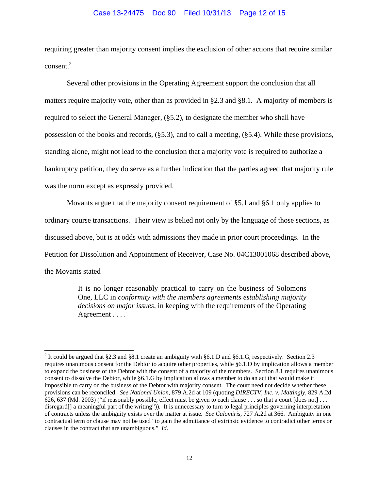#### Case 13-24475 Doc 90 Filed 10/31/13 Page 12 of 15

requiring greater than majority consent implies the exclusion of other actions that require similar consent.<sup>2</sup>

 Several other provisions in the Operating Agreement support the conclusion that all matters require majority vote, other than as provided in §2.3 and §8.1. A majority of members is required to select the General Manager, (§5.2), to designate the member who shall have possession of the books and records, (§5.3), and to call a meeting, (§5.4). While these provisions, standing alone, might not lead to the conclusion that a majority vote is required to authorize a bankruptcy petition, they do serve as a further indication that the parties agreed that majority rule was the norm except as expressly provided.

Movants argue that the majority consent requirement of §5.1 and §6.1 only applies to ordinary course transactions. Their view is belied not only by the language of those sections, as discussed above, but is at odds with admissions they made in prior court proceedings. In the Petition for Dissolution and Appointment of Receiver, Case No. 04C13001068 described above, the Movants stated

> It is no longer reasonably practical to carry on the business of Solomons One, LLC in *conformity with the members agreements establishing majority decisions on major issues*, in keeping with the requirements of the Operating Agreement . . . .

 $\overline{a}$ 

<sup>&</sup>lt;sup>2</sup> It could be argued that §2.3 and §8.1 create an ambiguity with §6.1.D and §6.1.G, respectively. Section 2.3 requires unanimous consent for the Debtor to acquire other properties, while §6.1.D by implication allows a member to expand the business of the Debtor with the consent of a majority of the members. Section 8.1 requires unanimous consent to dissolve the Debtor, while §6.1.G by implication allows a member to do an act that would make it impossible to carry on the business of the Debtor with majority consent. The court need not decide whether these provisions can be reconciled. *See National Union,* 879 A.2d at 109 (quoting *DIRECTV, Inc. v. Mattingly*, 829 A.2d 626, 637 (Md. 2003) ("if reasonably possible, effect must be given to each clause  $\dots$  so that a court [does not]  $\dots$ disregard<sup>[]</sup> a meaningful part of the writing")). It is unnecessary to turn to legal principles governing interpretation of contracts unless the ambiguity exists over the matter at issue. *See Calomiris*, 727 A.2d at 366. Ambiguity in one contractual term or clause may not be used "to gain the admittance of extrinsic evidence to contradict other terms or clauses in the contract that are unambiguous." *Id*.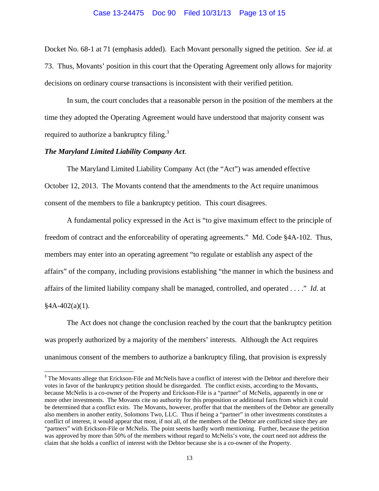#### Case 13-24475 Doc 90 Filed 10/31/13 Page 13 of 15

Docket No. 68-1 at 71 (emphasis added). Each Movant personally signed the petition. *See id*. at 73. Thus, Movants' position in this court that the Operating Agreement only allows for majority decisions on ordinary course transactions is inconsistent with their verified petition.

 In sum, the court concludes that a reasonable person in the position of the members at the time they adopted the Operating Agreement would have understood that majority consent was required to authorize a bankruptcy filing. $3$ 

### *The Maryland Limited Liability Company Act*.

 $\overline{a}$ 

 The Maryland Limited Liability Company Act (the "Act") was amended effective October 12, 2013. The Movants contend that the amendments to the Act require unanimous consent of the members to file a bankruptcy petition. This court disagrees.

 A fundamental policy expressed in the Act is "to give maximum effect to the principle of freedom of contract and the enforceability of operating agreements." Md. Code §4A-102. Thus, members may enter into an operating agreement "to regulate or establish any aspect of the affairs" of the company, including provisions establishing "the manner in which the business and affairs of the limited liability company shall be managed, controlled, and operated . . . ." *Id*. at  $§4A-402(a)(1).$ 

The Act does not change the conclusion reached by the court that the bankruptcy petition was properly authorized by a majority of the members' interests. Although the Act requires unanimous consent of the members to authorize a bankruptcy filing, that provision is expressly

<sup>&</sup>lt;sup>3</sup> The Movants allege that Erickson-File and McNelis have a conflict of interest with the Debtor and therefore their votes in favor of the bankruptcy petition should be disregarded. The conflict exists, according to the Movants, because McNelis is a co-owner of the Property and Erickson-File is a "partner" of McNelis, apparently in one or more other investments. The Movants cite no authority for this proposition or additional facts from which it could be determined that a conflict exits. The Movants, however, proffer that that the members of the Debtor are generally also members in another entity, Solomons Two, LLC. Thus if being a "partner" in other investments constitutes a conflict of interest, it would appear that most, if not all, of the members of the Debtor are conflicted since they are "partners" with Erickson-File or McNelis. The point seems hardly worth mentioning. Further, because the petition was approved by more than 50% of the members without regard to McNelis's vote, the court need not address the claim that she holds a conflict of interest with the Debtor because she is a co-owner of the Property.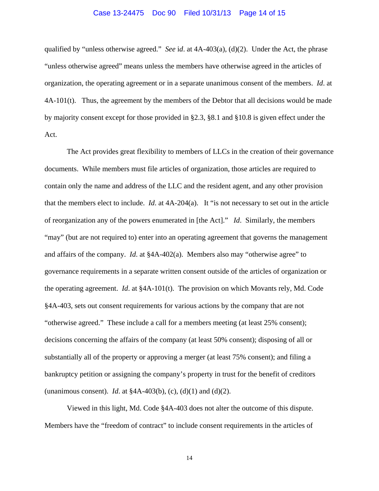#### Case 13-24475 Doc 90 Filed 10/31/13 Page 14 of 15

qualified by "unless otherwise agreed." *See* i*d*. at 4A-403(a), (d)(2). Under the Act, the phrase "unless otherwise agreed" means unless the members have otherwise agreed in the articles of organization, the operating agreement or in a separate unanimous consent of the members. *Id*. at 4A-101(t). Thus, the agreement by the members of the Debtor that all decisions would be made by majority consent except for those provided in §2.3, §8.1 and §10.8 is given effect under the Act.

The Act provides great flexibility to members of LLCs in the creation of their governance documents. While members must file articles of organization, those articles are required to contain only the name and address of the LLC and the resident agent, and any other provision that the members elect to include. *Id*. at 4A-204(a). It "is not necessary to set out in the article of reorganization any of the powers enumerated in [the Act]." *Id*. Similarly, the members "may" (but are not required to) enter into an operating agreement that governs the management and affairs of the company. *Id*. at §4A-402(a). Members also may "otherwise agree" to governance requirements in a separate written consent outside of the articles of organization or the operating agreement. *Id*. at §4A-101(t). The provision on which Movants rely, Md. Code §4A-403, sets out consent requirements for various actions by the company that are not "otherwise agreed." These include a call for a members meeting (at least 25% consent); decisions concerning the affairs of the company (at least 50% consent); disposing of all or substantially all of the property or approving a merger (at least 75% consent); and filing a bankruptcy petition or assigning the company's property in trust for the benefit of creditors (unanimous consent). *Id*. at §4A-403(b), (c), (d)(1) and (d)(2).

Viewed in this light, Md. Code §4A-403 does not alter the outcome of this dispute. Members have the "freedom of contract" to include consent requirements in the articles of

14